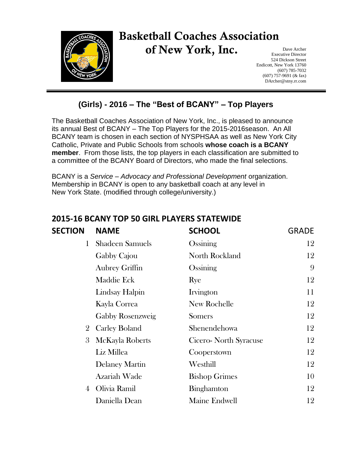

## Basketball Coaches Association of New York, Inc.

Dave Archer Executive Director 524 Dickson Street Endicott, New York 13760 (607) 785-7032 (607) 757-9691 (& fax) DArcher@stny.rr.com

## **(Girls) - 2016 – The "Best of BCANY" – Top Players**

The Basketball Coaches Association of New York, Inc., is pleased to announce its annual Best of BCANY – The Top Players for the 2015-2016season. An All BCANY team is chosen in each section of NYSPHSAA as well as New York City Catholic, Private and Public Schools from schools **whose coach is a BCANY member**. From those lists, the top players in each classification are submitted to a committee of the BCANY Board of Directors, who made the final selections.

BCANY is a *Service – Advocacy and Professional Development* organization. Membership in BCANY is open to any basketball coach at any level in New York State. (modified through college/university.)

| <b>SECTION</b> | <b>NAME</b>            | <b>SCHOOL</b>          | <b>GRADE</b> |
|----------------|------------------------|------------------------|--------------|
| $\mathbf{1}$   | <b>Shadeen Samuels</b> | Ossining               | 12           |
|                | Gabby Cajou            | North Rockland         | 12           |
|                | <b>Aubrey Griffin</b>  | Ossining               | 9            |
|                | Maddie Eck             | Rye                    | 12           |
|                | <b>Lindsay Halpin</b>  | Irvington              | 11           |
|                | Kayla Correa           | New Rochelle           | 12           |
|                | Gabby Rosenzweig       | <b>Somers</b>          | 12           |
| $\overline{2}$ | <b>Carley Boland</b>   | Shenendehowa           | 12           |
| 3              | McKayla Roberts        | Cicero- North Syracuse | 12           |
|                | Liz Millea             | Cooperstown            | 12           |
|                | <b>Delaney Martin</b>  | Westhill               | 12           |
|                | Azariah Wade           | <b>Bishop Grimes</b>   | 10           |
| $\overline{4}$ | Olivia Ramil           | Binghamton             | 12           |
|                | Daniella Dean          | Maine Endwell          | 12           |

## **2015-16 BCANY TOP 50 GIRL PLAYERS STATEWIDE**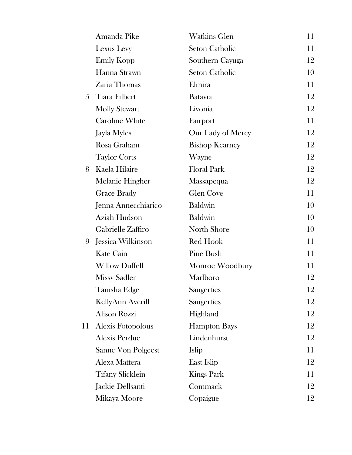|    | Amanda Pike             | <b>Watkins Glen</b>   | 11 |
|----|-------------------------|-----------------------|----|
|    | Lexus Levy              | <b>Seton Catholic</b> | 11 |
|    | <b>Emily Kopp</b>       | Southern Cayuga       | 12 |
|    | Hanna Strawn            | <b>Seton Catholic</b> | 10 |
|    | Zaria Thomas            | Elmira                | 11 |
| 5  | <b>Tiara Filbert</b>    | <b>Batavia</b>        | 12 |
|    | <b>Molly Stewart</b>    | Livonia               | 12 |
|    | <b>Caroline White</b>   | Fairport              | 11 |
|    | Jayla Myles             | Our Lady of Mercy     | 12 |
|    | Rosa Graham             | <b>Bishop Kearney</b> | 12 |
|    | <b>Taylor Corts</b>     | Wayne                 | 12 |
| 8  | Kaela Hilaire           | <b>Floral Park</b>    | 12 |
|    | Melanie Hingher         | Massapequa            | 12 |
|    | <b>Grace Brady</b>      | <b>Glen Cove</b>      | 11 |
|    | Jenna Annecchiarico     | <b>Baldwin</b>        | 10 |
|    | Aziah Hudson            | <b>Baldwin</b>        | 10 |
|    | Gabrielle Zaffiro       | North Shore           | 10 |
| 9  | Jessica Wilkinson       | Red Hook              | 11 |
|    | Kate Cain               | Pine Bush             | 11 |
|    | <b>Willow Duffell</b>   | Monroe Woodbury       | 11 |
|    | <b>Missy Sadler</b>     | Marlboro              | 12 |
|    | Tanisha Edge            | Saugerties            | 12 |
|    | KellyAnn Averill        | Saugerties            | 12 |
|    | <b>Alison Rozzi</b>     | Highland              | 12 |
| 11 | Alexis Fotopolous       | <b>Hampton Bays</b>   | 12 |
|    | <b>Alexis Perdue</b>    | Lindenhurst           | 12 |
|    | Sanne Von Polgeest      | Islip                 | 11 |
|    | Alexa Mattera           | East Islip            | 12 |
|    | <b>Tifany Slicklein</b> | <b>Kings Park</b>     | 11 |
|    | Jackie Dellsanti        | Commack               | 12 |
|    | Mikaya Moore            | Copaigue              | 12 |